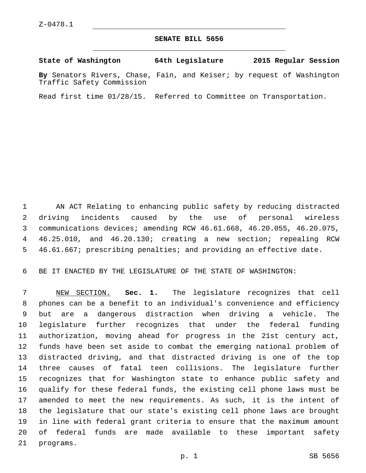## **SENATE BILL 5656**

|  | State of Washington | 64th Legislature | 2015 Regular Session |  |
|--|---------------------|------------------|----------------------|--|
|  |                     |                  |                      |  |

**By** Senators Rivers, Chase, Fain, and Keiser; by request of Washington Traffic Safety Commission

Read first time 01/28/15. Referred to Committee on Transportation.

 AN ACT Relating to enhancing public safety by reducing distracted driving incidents caused by the use of personal wireless communications devices; amending RCW 46.61.668, 46.20.055, 46.20.075, 46.25.010, and 46.20.130; creating a new section; repealing RCW 46.61.667; prescribing penalties; and providing an effective date.

BE IT ENACTED BY THE LEGISLATURE OF THE STATE OF WASHINGTON:

 NEW SECTION. **Sec. 1.** The legislature recognizes that cell phones can be a benefit to an individual's convenience and efficiency but are a dangerous distraction when driving a vehicle. The legislature further recognizes that under the federal funding authorization, moving ahead for progress in the 21st century act, funds have been set aside to combat the emerging national problem of distracted driving, and that distracted driving is one of the top three causes of fatal teen collisions. The legislature further recognizes that for Washington state to enhance public safety and qualify for these federal funds, the existing cell phone laws must be amended to meet the new requirements. As such, it is the intent of the legislature that our state's existing cell phone laws are brought in line with federal grant criteria to ensure that the maximum amount of federal funds are made available to these important safety 21 programs.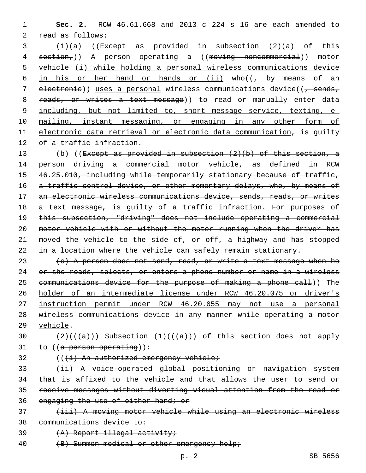1 **Sec. 2.** RCW 46.61.668 and 2013 c 224 s 16 are each amended to 2 read as follows:

3 (1)(a) ((Except as provided in subsection (2)(a) of this 4 section,)) A person operating a ((moving noncommercial)) motor 5 vehicle (i) while holding a personal wireless communications device 6 in his or her hand or hands or  $(ii)$  who $((, -by -means - of - an$ 7 electronie)) uses a personal wireless communications device((, sends, 8 reads, or writes a text message)) to read or manually enter data 9 including, but not limited to, short message service, texting, e-10 mailing, instant messaging, or engaging in any other form of 11 electronic data retrieval or electronic data communication, is guilty 12 of a traffic infraction.

13 (b) ((Except as provided in subsection (2)(b) of this section, a 14 person driving a commercial motor vehicle, as defined in RCW 15 46.25.010, including while temporarily stationary because of traffic, 16 a traffic control device, or other momentary delays, who, by means of 17 an electronic wireless communications device, sends, reads, or writes 18 a text message, is quilty of a traffic infraction. For purposes of 19 this subsection, "driving" does not include operating a commercial 20 motor vehicle with or without the motor running when the driver has 21 moved the vehicle to the side of, or off, a highway and has stopped 22 in a location where the vehicle can safely remain stationary.

23 (c) A person does not send, read, or write a text message when he 24 or she reads, selects, or enters a phone number or name in a wireless 25 communications device for the purpose of making a phone call)) The 26 holder of an intermediate license under RCW 46.20.075 or driver's 27 instruction permit under RCW 46.20.055 may not use a personal 28 wireless communications device in any manner while operating a motor 29 vehicle.

30 (2)(( $(a)$ )) Subsection (1)(( $(a)$ )) of this section does not apply 31 to ((a person operating)):

32 (((i) An authorized emergency vehicle;

 (ii) A voice-operated global positioning or navigation system that is affixed to the vehicle and that allows the user to send or receive messages without diverting visual attention from the road or 36 engaging the use of either hand; or

37 (iii) A moving motor vehicle while using an electronic wireless 38 communications device to:

39 (A) Report illegal activity;

40 (B) Summon medical or other emergency help;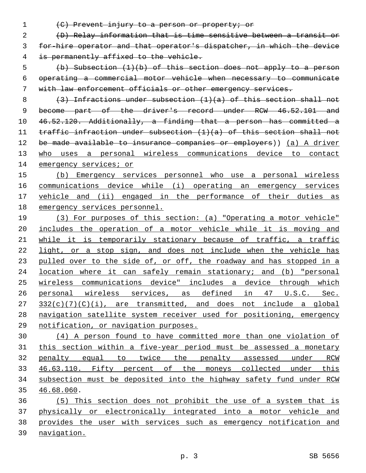(C) Prevent injury to a person or property; or

 (D) Relay information that is time sensitive between a transit or for-hire operator and that operator's dispatcher, in which the device is permanently affixed to the vehicle.

 (b) Subsection (1)(b) of this section does not apply to a person operating a commercial motor vehicle when necessary to communicate with law enforcement officials or other emergency services.

 (3) Infractions under subsection (1)(a) of this section shall not 9 become part of the driver's record under RCW 46.52.101 and 46.52.120. Additionally, a finding that a person has committed a traffic infraction under subsection (1)(a) of this section shall not 12 be made available to insurance companies or employers)) (a) A driver 13 who uses a personal wireless communications device to contact 14 emergency services; or

 (b) Emergency services personnel who use a personal wireless communications device while (i) operating an emergency services vehicle and (ii) engaged in the performance of their duties as emergency services personnel.

 (3) For purposes of this section: (a) "Operating a motor vehicle" includes the operation of a motor vehicle while it is moving and while it is temporarily stationary because of traffic, a traffic light, or a stop sign, and does not include when the vehicle has pulled over to the side of, or off, the roadway and has stopped in a location where it can safely remain stationary; and (b) "personal wireless communications device" includes a device through which personal wireless services, as defined in 47 U.S.C. Sec. 27 332(c)(7)(C)(i), are transmitted, and does not include a global navigation satellite system receiver used for positioning, emergency notification, or navigation purposes.

 (4) A person found to have committed more than one violation of this section within a five-year period must be assessed a monetary 32 penalty equal to twice the penalty assessed under RCW 46.63.110. Fifty percent of the moneys collected under this subsection must be deposited into the highway safety fund under RCW 35 46.68.060.

 (5) This section does not prohibit the use of a system that is physically or electronically integrated into a motor vehicle and provides the user with services such as emergency notification and navigation.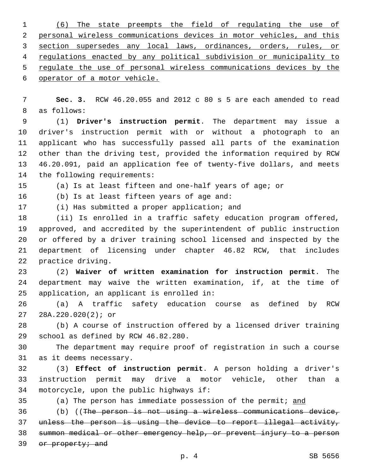(6) The state preempts the field of regulating the use of personal wireless communications devices in motor vehicles, and this section supersedes any local laws, ordinances, orders, rules, or regulations enacted by any political subdivision or municipality to regulate the use of personal wireless communications devices by the operator of a motor vehicle.

 **Sec. 3.** RCW 46.20.055 and 2012 c 80 s 5 are each amended to read 8 as follows:

 (1) **Driver's instruction permit**. The department may issue a driver's instruction permit with or without a photograph to an applicant who has successfully passed all parts of the examination other than the driving test, provided the information required by RCW 46.20.091, paid an application fee of twenty-five dollars, and meets 14 the following requirements:

(a) Is at least fifteen and one-half years of age; or

16 (b) Is at least fifteen years of age and:

17 (i) Has submitted a proper application; and

 (ii) Is enrolled in a traffic safety education program offered, approved, and accredited by the superintendent of public instruction or offered by a driver training school licensed and inspected by the department of licensing under chapter 46.82 RCW, that includes 22 practice driving.

 (2) **Waiver of written examination for instruction permit**. The department may waive the written examination, if, at the time of 25 application, an applicant is enrolled in:

 (a) A traffic safety education course as defined by RCW 28A.220.020(2); or27

 (b) A course of instruction offered by a licensed driver training 29 school as defined by RCW 46.82.280.

 The department may require proof of registration in such a course 31 as it deems necessary.

 (3) **Effect of instruction permit**. A person holding a driver's instruction permit may drive a motor vehicle, other than a 34 motorcycle, upon the public highways if:

35 (a) The person has immediate possession of the permit; and

 (b) ((The person is not using a wireless communications device, unless the person is using the device to report illegal activity, summon medical or other emergency help, or prevent injury to a person 39 or property; and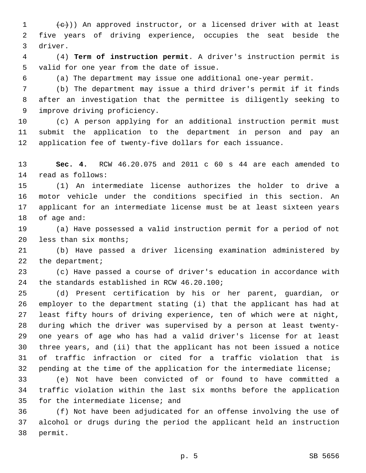$(1 + e)$ ) An approved instructor, or a licensed driver with at least five years of driving experience, occupies the seat beside the 3 driver.

 (4) **Term of instruction permit**. A driver's instruction permit is 5 valid for one year from the date of issue.

(a) The department may issue one additional one-year permit.

 (b) The department may issue a third driver's permit if it finds after an investigation that the permittee is diligently seeking to 9 improve driving proficiency.

 (c) A person applying for an additional instruction permit must submit the application to the department in person and pay an application fee of twenty-five dollars for each issuance.

 **Sec. 4.** RCW 46.20.075 and 2011 c 60 s 44 are each amended to 14 read as follows:

 (1) An intermediate license authorizes the holder to drive a motor vehicle under the conditions specified in this section. An applicant for an intermediate license must be at least sixteen years 18 of age and:

 (a) Have possessed a valid instruction permit for a period of not 20 less than six months;

 (b) Have passed a driver licensing examination administered by 22 the department;

 (c) Have passed a course of driver's education in accordance with 24 the standards established in RCW 46.20.100;

 (d) Present certification by his or her parent, guardian, or employer to the department stating (i) that the applicant has had at least fifty hours of driving experience, ten of which were at night, during which the driver was supervised by a person at least twenty- one years of age who has had a valid driver's license for at least three years, and (ii) that the applicant has not been issued a notice of traffic infraction or cited for a traffic violation that is pending at the time of the application for the intermediate license;

 (e) Not have been convicted of or found to have committed a traffic violation within the last six months before the application 35 for the intermediate license; and

 (f) Not have been adjudicated for an offense involving the use of alcohol or drugs during the period the applicant held an instruction 38 permit.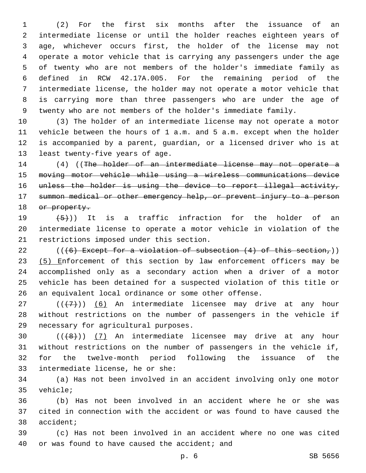(2) For the first six months after the issuance of an intermediate license or until the holder reaches eighteen years of age, whichever occurs first, the holder of the license may not operate a motor vehicle that is carrying any passengers under the age of twenty who are not members of the holder's immediate family as defined in RCW 42.17A.005. For the remaining period of the intermediate license, the holder may not operate a motor vehicle that is carrying more than three passengers who are under the age of twenty who are not members of the holder's immediate family.

 (3) The holder of an intermediate license may not operate a motor vehicle between the hours of 1 a.m. and 5 a.m. except when the holder is accompanied by a parent, guardian, or a licensed driver who is at 13 least twenty-five years of age.

 (4) ((The holder of an intermediate license may not operate a moving motor vehicle while using a wireless communications device unless the holder is using the device to report illegal activity, 17 summon medical or other emergency help, or prevent injury to a person 18 or property.

 $(5)$ ) It is a traffic infraction for the holder of an intermediate license to operate a motor vehicle in violation of the 21 restrictions imposed under this section.

22 ( $((+6)$  Except for a violation of subsection  $(4)$  of this section,)) 23 (5) Enforcement of this section by law enforcement officers may be accomplished only as a secondary action when a driver of a motor vehicle has been detained for a suspected violation of this title or an equivalent local ordinance or some other offense.

 ( $(\overline{+7})$ ) (6) An intermediate licensee may drive at any hour without restrictions on the number of passengers in the vehicle if 29 necessary for agricultural purposes.

 $((+8))$   $(7)$  An intermediate licensee may drive at any hour without restrictions on the number of passengers in the vehicle if, for the twelve-month period following the issuance of the 33 intermediate license, he or she:

 (a) Has not been involved in an accident involving only one motor 35 vehicle;

 (b) Has not been involved in an accident where he or she was cited in connection with the accident or was found to have caused the 38 accident;

 (c) Has not been involved in an accident where no one was cited 40 or was found to have caused the accident; and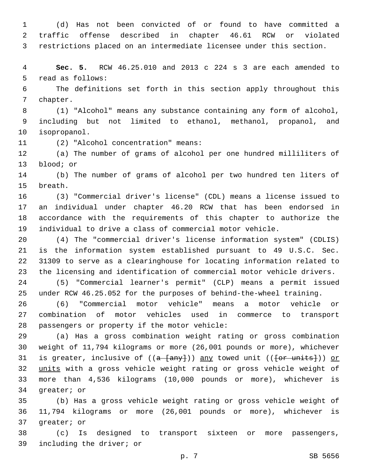(d) Has not been convicted of or found to have committed a traffic offense described in chapter 46.61 RCW or violated restrictions placed on an intermediate licensee under this section.

 **Sec. 5.** RCW 46.25.010 and 2013 c 224 s 3 are each amended to 5 read as follows:

 The definitions set forth in this section apply throughout this 7 chapter.

 (1) "Alcohol" means any substance containing any form of alcohol, including but not limited to ethanol, methanol, propanol, and 10 isopropanol.

11 (2) "Alcohol concentration" means:

 (a) The number of grams of alcohol per one hundred milliliters of 13 blood; or

 (b) The number of grams of alcohol per two hundred ten liters of 15 breath.

 (3) "Commercial driver's license" (CDL) means a license issued to an individual under chapter 46.20 RCW that has been endorsed in accordance with the requirements of this chapter to authorize the individual to drive a class of commercial motor vehicle.

 (4) The "commercial driver's license information system" (CDLIS) is the information system established pursuant to 49 U.S.C. Sec. 31309 to serve as a clearinghouse for locating information related to the licensing and identification of commercial motor vehicle drivers.

 (5) "Commercial learner's permit" (CLP) means a permit issued under RCW 46.25.052 for the purposes of behind-the-wheel training.

 (6) "Commercial motor vehicle" means a motor vehicle or combination of motor vehicles used in commerce to transport 28 passengers or property if the motor vehicle:

 (a) Has a gross combination weight rating or gross combination weight of 11,794 kilograms or more (26,001 pounds or more), whichever 31 is greater, inclusive of  $((a - \{i\}) )$  any towed unit  $((a - \{i\}) )$  or 32 units with a gross vehicle weight rating or gross vehicle weight of more than 4,536 kilograms (10,000 pounds or more), whichever is 34 greater; or

 (b) Has a gross vehicle weight rating or gross vehicle weight of 11,794 kilograms or more (26,001 pounds or more), whichever is 37 qreater; or

 (c) Is designed to transport sixteen or more passengers, 39 including the driver; or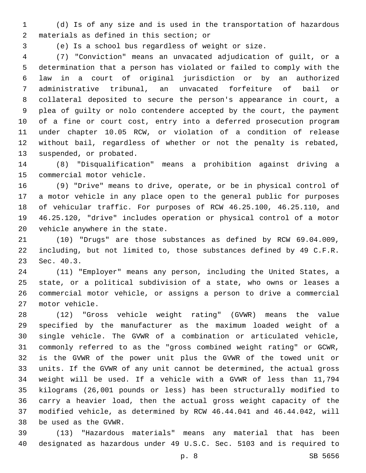(d) Is of any size and is used in the transportation of hazardous 2 materials as defined in this section; or

(e) Is a school bus regardless of weight or size.

 (7) "Conviction" means an unvacated adjudication of guilt, or a determination that a person has violated or failed to comply with the law in a court of original jurisdiction or by an authorized administrative tribunal, an unvacated forfeiture of bail or collateral deposited to secure the person's appearance in court, a plea of guilty or nolo contendere accepted by the court, the payment of a fine or court cost, entry into a deferred prosecution program under chapter 10.05 RCW, or violation of a condition of release without bail, regardless of whether or not the penalty is rebated, 13 suspended, or probated.

 (8) "Disqualification" means a prohibition against driving a 15 commercial motor vehicle.

 (9) "Drive" means to drive, operate, or be in physical control of a motor vehicle in any place open to the general public for purposes of vehicular traffic. For purposes of RCW 46.25.100, 46.25.110, and 46.25.120, "drive" includes operation or physical control of a motor 20 vehicle anywhere in the state.

 (10) "Drugs" are those substances as defined by RCW 69.04.009, including, but not limited to, those substances defined by 49 C.F.R. 23 Sec. 40.3.

 (11) "Employer" means any person, including the United States, a state, or a political subdivision of a state, who owns or leases a commercial motor vehicle, or assigns a person to drive a commercial 27 motor vehicle.

 (12) "Gross vehicle weight rating" (GVWR) means the value specified by the manufacturer as the maximum loaded weight of a single vehicle. The GVWR of a combination or articulated vehicle, commonly referred to as the "gross combined weight rating" or GCWR, is the GVWR of the power unit plus the GVWR of the towed unit or units. If the GVWR of any unit cannot be determined, the actual gross weight will be used. If a vehicle with a GVWR of less than 11,794 kilograms (26,001 pounds or less) has been structurally modified to carry a heavier load, then the actual gross weight capacity of the modified vehicle, as determined by RCW 46.44.041 and 46.44.042, will 38 be used as the GVWR.

 (13) "Hazardous materials" means any material that has been designated as hazardous under 49 U.S.C. Sec. 5103 and is required to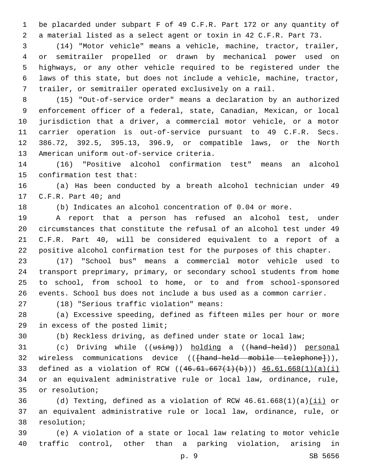be placarded under subpart F of 49 C.F.R. Part 172 or any quantity of a material listed as a select agent or toxin in 42 C.F.R. Part 73.

 (14) "Motor vehicle" means a vehicle, machine, tractor, trailer, or semitrailer propelled or drawn by mechanical power used on highways, or any other vehicle required to be registered under the laws of this state, but does not include a vehicle, machine, tractor, trailer, or semitrailer operated exclusively on a rail.

 (15) "Out-of-service order" means a declaration by an authorized enforcement officer of a federal, state, Canadian, Mexican, or local jurisdiction that a driver, a commercial motor vehicle, or a motor carrier operation is out-of-service pursuant to 49 C.F.R. Secs. 386.72, 392.5, 395.13, 396.9, or compatible laws, or the North 13 American uniform out-of-service criteria.

 (16) "Positive alcohol confirmation test" means an alcohol 15 confirmation test that:

 (a) Has been conducted by a breath alcohol technician under 49 17 C.F.R. Part 40; and

(b) Indicates an alcohol concentration of 0.04 or more.

 A report that a person has refused an alcohol test, under circumstances that constitute the refusal of an alcohol test under 49 C.F.R. Part 40, will be considered equivalent to a report of a positive alcohol confirmation test for the purposes of this chapter.

 (17) "School bus" means a commercial motor vehicle used to transport preprimary, primary, or secondary school students from home to school, from school to home, or to and from school-sponsored events. School bus does not include a bus used as a common carrier.

(18) "Serious traffic violation" means:27

 (a) Excessive speeding, defined as fifteen miles per hour or more 29 in excess of the posted limit;

(b) Reckless driving, as defined under state or local law;

31 (c) Driving while ((<del>using</del>)) holding a ((hand-held)) personal 32 wireless communications device ((<del>[hand-held mobile telephone]</del>)), 33 defined as a violation of RCW ((46.61.667(1)(b))) 46.61.668(1)(a)(i) or an equivalent administrative rule or local law, ordinance, rule, 35 or resolution;

36 (d) Texting, defined as a violation of RCW  $46.61.668(1)(a)(iii)$  or an equivalent administrative rule or local law, ordinance, rule, or 38 resolution;

 (e) A violation of a state or local law relating to motor vehicle traffic control, other than a parking violation, arising in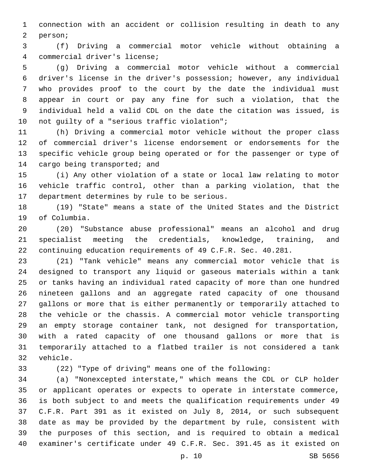connection with an accident or collision resulting in death to any 2 person;

 (f) Driving a commercial motor vehicle without obtaining a 4 commercial driver's license;

 (g) Driving a commercial motor vehicle without a commercial driver's license in the driver's possession; however, any individual who provides proof to the court by the date the individual must appear in court or pay any fine for such a violation, that the individual held a valid CDL on the date the citation was issued, is 10 not guilty of a "serious traffic violation";

 (h) Driving a commercial motor vehicle without the proper class of commercial driver's license endorsement or endorsements for the specific vehicle group being operated or for the passenger or type of 14 cargo being transported; and

 (i) Any other violation of a state or local law relating to motor vehicle traffic control, other than a parking violation, that the 17 department determines by rule to be serious.

 (19) "State" means a state of the United States and the District 19 of Columbia.

 (20) "Substance abuse professional" means an alcohol and drug specialist meeting the credentials, knowledge, training, and continuing education requirements of 49 C.F.R. Sec. 40.281.

 (21) "Tank vehicle" means any commercial motor vehicle that is designed to transport any liquid or gaseous materials within a tank or tanks having an individual rated capacity of more than one hundred nineteen gallons and an aggregate rated capacity of one thousand gallons or more that is either permanently or temporarily attached to the vehicle or the chassis. A commercial motor vehicle transporting an empty storage container tank, not designed for transportation, with a rated capacity of one thousand gallons or more that is temporarily attached to a flatbed trailer is not considered a tank 32 vehicle.

(22) "Type of driving" means one of the following:

 (a) "Nonexcepted interstate," which means the CDL or CLP holder or applicant operates or expects to operate in interstate commerce, is both subject to and meets the qualification requirements under 49 C.F.R. Part 391 as it existed on July 8, 2014, or such subsequent date as may be provided by the department by rule, consistent with the purposes of this section, and is required to obtain a medical examiner's certificate under 49 C.F.R. Sec. 391.45 as it existed on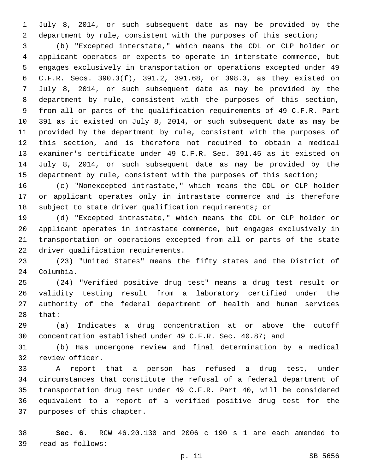July 8, 2014, or such subsequent date as may be provided by the department by rule, consistent with the purposes of this section;

 (b) "Excepted interstate," which means the CDL or CLP holder or applicant operates or expects to operate in interstate commerce, but engages exclusively in transportation or operations excepted under 49 C.F.R. Secs. 390.3(f), 391.2, 391.68, or 398.3, as they existed on July 8, 2014, or such subsequent date as may be provided by the department by rule, consistent with the purposes of this section, from all or parts of the qualification requirements of 49 C.F.R. Part 391 as it existed on July 8, 2014, or such subsequent date as may be provided by the department by rule, consistent with the purposes of this section, and is therefore not required to obtain a medical examiner's certificate under 49 C.F.R. Sec. 391.45 as it existed on July 8, 2014, or such subsequent date as may be provided by the 15 department by rule, consistent with the purposes of this section;

 (c) "Nonexcepted intrastate," which means the CDL or CLP holder or applicant operates only in intrastate commerce and is therefore subject to state driver qualification requirements; or

 (d) "Excepted intrastate," which means the CDL or CLP holder or applicant operates in intrastate commerce, but engages exclusively in transportation or operations excepted from all or parts of the state 22 driver qualification requirements.

 (23) "United States" means the fifty states and the District of 24 Columbia.

 (24) "Verified positive drug test" means a drug test result or validity testing result from a laboratory certified under the authority of the federal department of health and human services 28 that:

 (a) Indicates a drug concentration at or above the cutoff concentration established under 49 C.F.R. Sec. 40.87; and

 (b) Has undergone review and final determination by a medical 32 review officer.

 A report that a person has refused a drug test, under circumstances that constitute the refusal of a federal department of transportation drug test under 49 C.F.R. Part 40, will be considered equivalent to a report of a verified positive drug test for the 37 purposes of this chapter.

 **Sec. 6.** RCW 46.20.130 and 2006 c 190 s 1 are each amended to read as follows:39